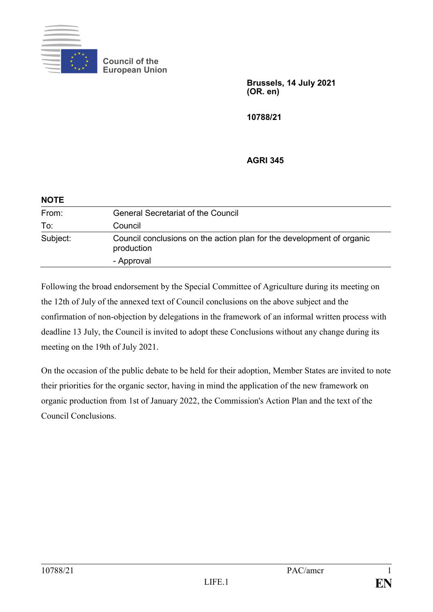

**Council of the European Union**

> **Brussels, 14 July 2021 (OR. en)**

**10788/21**

**AGRI 345**

| <b>NOTE</b> |                                                                                     |
|-------------|-------------------------------------------------------------------------------------|
| From:       | <b>General Secretariat of the Council</b>                                           |
| To:         | Council                                                                             |
| Subject:    | Council conclusions on the action plan for the development of organic<br>production |
|             | - Approval                                                                          |

Following the broad endorsement by the Special Committee of Agriculture during its meeting on the 12th of July of the annexed text of Council conclusions on the above subject and the confirmation of non-objection by delegations in the framework of an informal written process with deadline 13 July, the Council is invited to adopt these Conclusions without any change during its meeting on the 19th of July 2021.

On the occasion of the public debate to be held for their adoption, Member States are invited to note their priorities for the organic sector, having in mind the application of the new framework on organic production from 1st of January 2022, the Commission's Action Plan and the text of the Council Conclusions.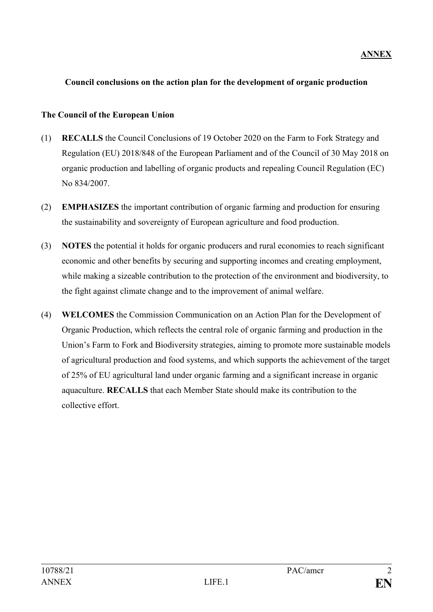## **Council conclusions on the action plan for the development of organic production**

## **The Council of the European Union**

- (1) **RECALLS** the Council Conclusions of 19 October 2020 on the Farm to Fork Strategy and Regulation (EU) 2018/848 of the European Parliament and of the Council of 30 May 2018 on organic production and labelling of organic products and repealing Council Regulation (EC) No 834/2007.
- (2) **EMPHASIZES** the important contribution of organic farming and production for ensuring the sustainability and sovereignty of European agriculture and food production.
- (3) **NOTES** the potential it holds for organic producers and rural economies to reach significant economic and other benefits by securing and supporting incomes and creating employment, while making a sizeable contribution to the protection of the environment and biodiversity, to the fight against climate change and to the improvement of animal welfare.
- (4) **WELCOMES** the Commission Communication on an Action Plan for the Development of Organic Production, which reflects the central role of organic farming and production in the Union's Farm to Fork and Biodiversity strategies, aiming to promote more sustainable models of agricultural production and food systems, and which supports the achievement of the target of 25% of EU agricultural land under organic farming and a significant increase in organic aquaculture. **RECALLS** that each Member State should make its contribution to the collective effort.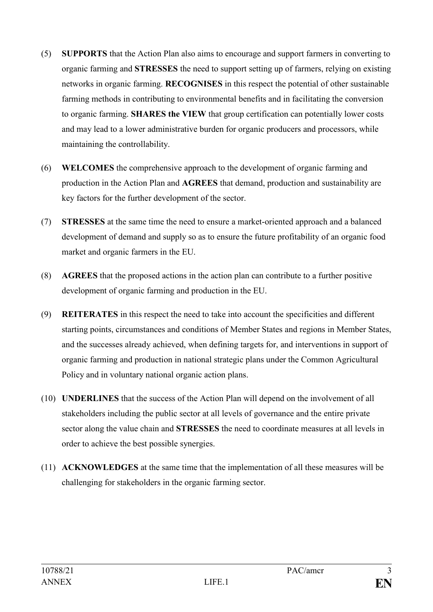- (5) **SUPPORTS** that the Action Plan also aims to encourage and support farmers in converting to organic farming and **STRESSES** the need to support setting up of farmers, relying on existing networks in organic farming. **RECOGNISES** in this respect the potential of other sustainable farming methods in contributing to environmental benefits and in facilitating the conversion to organic farming. **SHARES the VIEW** that group certification can potentially lower costs and may lead to a lower administrative burden for organic producers and processors, while maintaining the controllability.
- (6) **WELCOMES** the comprehensive approach to the development of organic farming and production in the Action Plan and **AGREES** that demand, production and sustainability are key factors for the further development of the sector.
- (7) **STRESSES** at the same time the need to ensure a market-oriented approach and a balanced development of demand and supply so as to ensure the future profitability of an organic food market and organic farmers in the EU.
- (8) **AGREES** that the proposed actions in the action plan can contribute to a further positive development of organic farming and production in the EU.
- (9) **REITERATES** in this respect the need to take into account the specificities and different starting points, circumstances and conditions of Member States and regions in Member States, and the successes already achieved, when defining targets for, and interventions in support of organic farming and production in national strategic plans under the Common Agricultural Policy and in voluntary national organic action plans.
- (10) **UNDERLINES** that the success of the Action Plan will depend on the involvement of all stakeholders including the public sector at all levels of governance and the entire private sector along the value chain and **STRESSES** the need to coordinate measures at all levels in order to achieve the best possible synergies.
- (11) **ACKNOWLEDGES** at the same time that the implementation of all these measures will be challenging for stakeholders in the organic farming sector.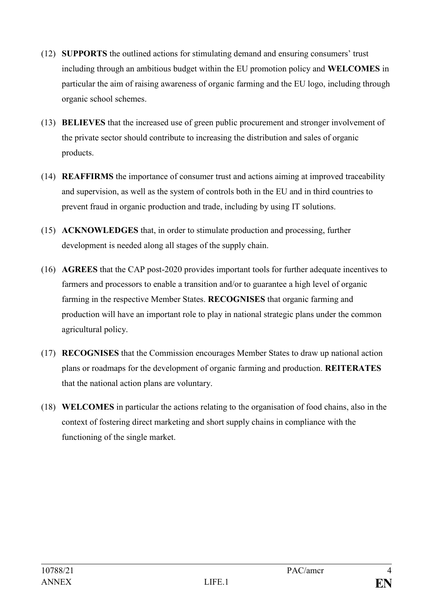- (12) **SUPPORTS** the outlined actions for stimulating demand and ensuring consumers' trust including through an ambitious budget within the EU promotion policy and **WELCOMES** in particular the aim of raising awareness of organic farming and the EU logo, including through organic school schemes.
- (13) **BELIEVES** that the increased use of green public procurement and stronger involvement of the private sector should contribute to increasing the distribution and sales of organic products.
- (14) **REAFFIRMS** the importance of consumer trust and actions aiming at improved traceability and supervision, as well as the system of controls both in the EU and in third countries to prevent fraud in organic production and trade, including by using IT solutions.
- (15) **ACKNOWLEDGES** that, in order to stimulate production and processing, further development is needed along all stages of the supply chain.
- (16) **AGREES** that the CAP post-2020 provides important tools for further adequate incentives to farmers and processors to enable a transition and/or to guarantee a high level of organic farming in the respective Member States. **RECOGNISES** that organic farming and production will have an important role to play in national strategic plans under the common agricultural policy.
- (17) **RECOGNISES** that the Commission encourages Member States to draw up national action plans or roadmaps for the development of organic farming and production. **REITERATES**  that the national action plans are voluntary.
- (18) **WELCOMES** in particular the actions relating to the organisation of food chains, also in the context of fostering direct marketing and short supply chains in compliance with the functioning of the single market.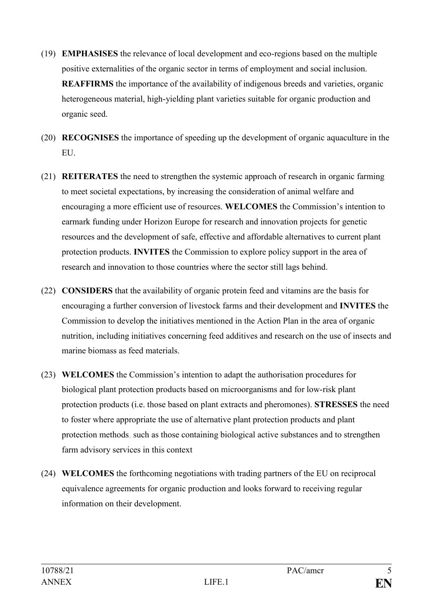- (19) **EMPHASISES** the relevance of local development and eco-regions based on the multiple positive externalities of the organic sector in terms of employment and social inclusion. **REAFFIRMS** the importance of the availability of indigenous breeds and varieties, organic heterogeneous material, high-yielding plant varieties suitable for organic production and organic seed.
- (20) **RECOGNISES** the importance of speeding up the development of organic aquaculture in the EU.
- (21) **REITERATES** the need to strengthen the systemic approach of research in organic farming to meet societal expectations, by increasing the consideration of animal welfare and encouraging a more efficient use of resources. **WELCOMES** the Commission's intention to earmark funding under Horizon Europe for research and innovation projects for genetic resources and the development of safe, effective and affordable alternatives to current plant protection products. **INVITES** the Commission to explore policy support in the area of research and innovation to those countries where the sector still lags behind.
- (22) **CONSIDERS** that the availability of organic protein feed and vitamins are the basis for encouraging a further conversion of livestock farms and their development and **INVITES** the Commission to develop the initiatives mentioned in the Action Plan in the area of organic nutrition, including initiatives concerning feed additives and research on the use of insects and marine biomass as feed materials.
- (23) **WELCOMES** the Commission's intention to adapt the authorisation procedures for biological plant protection products based on microorganisms and for low-risk plant protection products (i.e. those based on plant extracts and pheromones). **STRESSES** the need to foster where appropriate the use of alternative plant protection products and plant protection methods, such as those containing biological active substances and to strengthen farm advisory services in this context
- (24) **WELCOMES** the forthcoming negotiations with trading partners of the EU on reciprocal equivalence agreements for organic production and looks forward to receiving regular information on their development.